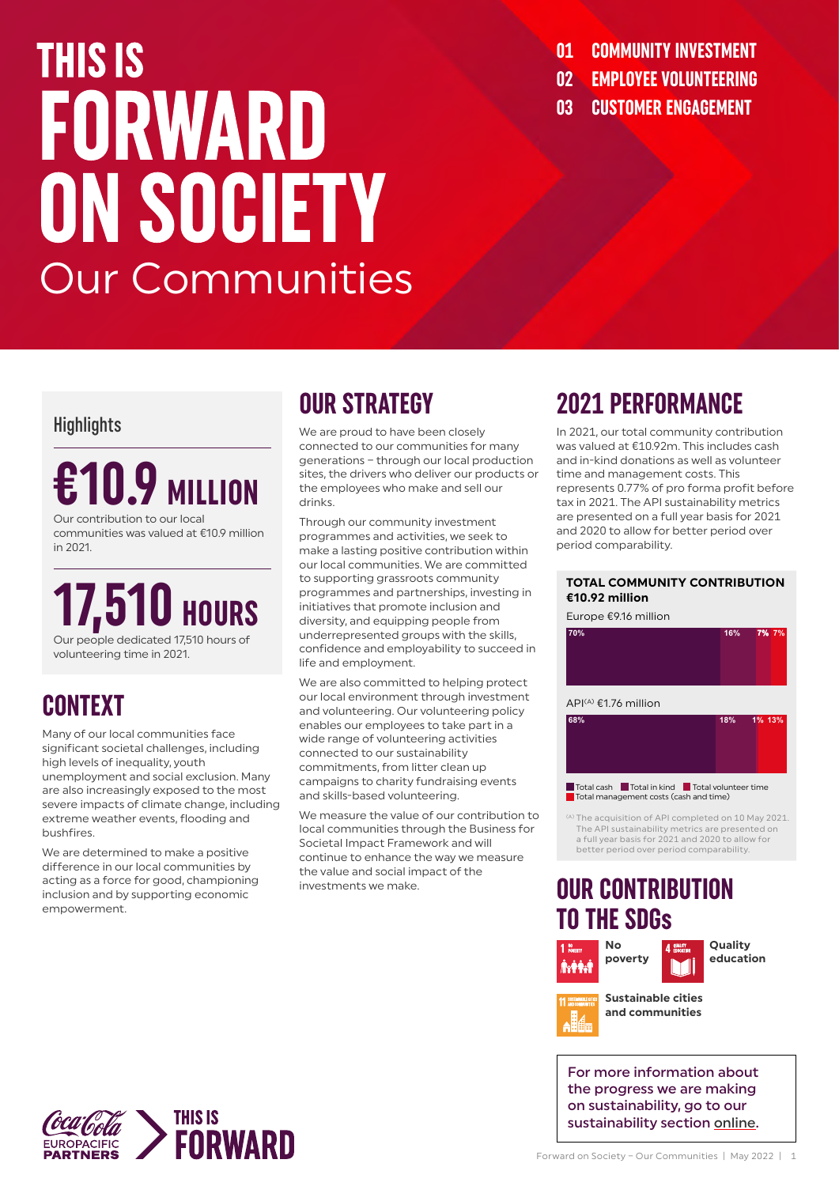# **THIS IS** FORWARD ON SOCIETY Our Communities

- **01 COMMUNITY INVESTMENT 02 EMPLOYEE VOLUNTEERING**
- **03 CUSTOMER ENGAGEMENT**

#### **Highlights**

# **€10.9 MILLION** Our contribution to our local

communities was valued at €10.9 million in 2021.

**17,510** Our people dedicated 17,510 hours of volunteering time in 2021.

# **CONTEXT**

Many of our local communities face significant societal challenges, including high levels of inequality, youth unemployment and social exclusion. Many are also increasingly exposed to the most severe impacts of climate change, including extreme weather events, flooding and bushfires.

We are determined to make a positive difference in our local communities by acting as a force for good, championing inclusion and by supporting economic empowerment.

# **OUR STRATEGY**

We are proud to have been closely connected to our communities for many generations – through our local production sites, the drivers who deliver our products or the employees who make and sell our drinks.

Through our community investment programmes and activities, we seek to make a lasting positive contribution within our local communities. We are committed to supporting grassroots community programmes and partnerships, investing in initiatives that promote inclusion and diversity, and equipping people from underrepresented groups with the skills, confidence and employability to succeed in life and employment.

We are also committed to helping protect our local environment through investment and volunteering. Our volunteering policy enables our employees to take part in a wide range of volunteering activities connected to our sustainability commitments, from litter clean up campaigns to charity fundraising events and skills-based volunteering.

We measure the value of our contribution to local communities through the Business for Societal Impact Framework and will continue to enhance the way we measure the value and social impact of the investments we make.

# **2021 PERFORMANCE**

In 2021, our total community contribution was valued at €10.92m. This includes cash and in-kind donations as well as volunteer time and management costs. This represents 0.77% of pro forma profit before tax in 2021. The API sustainability metrics are presented on a full year basis for 2021 and 2020 to allow for better period over period comparability.

#### **TOTAL COMMUNITY CONTRIBUTION €10.92 million**

Europe €9.16 million





<sup>(A)</sup> The acquisition of API completed on 10 May 2021. The API sustainability metrics are presented on a full year basis for 2021 and 2020 to allow for better period over period comparability.

### **OUR CONTRIBUTION TO THE SDGs**





**education**

**Sustainable cities and communities**

For more information about the progress we are making on sustainability, go to our sustainability section [online](https://www.cocacolaep.com/sustainability/download-centre/).

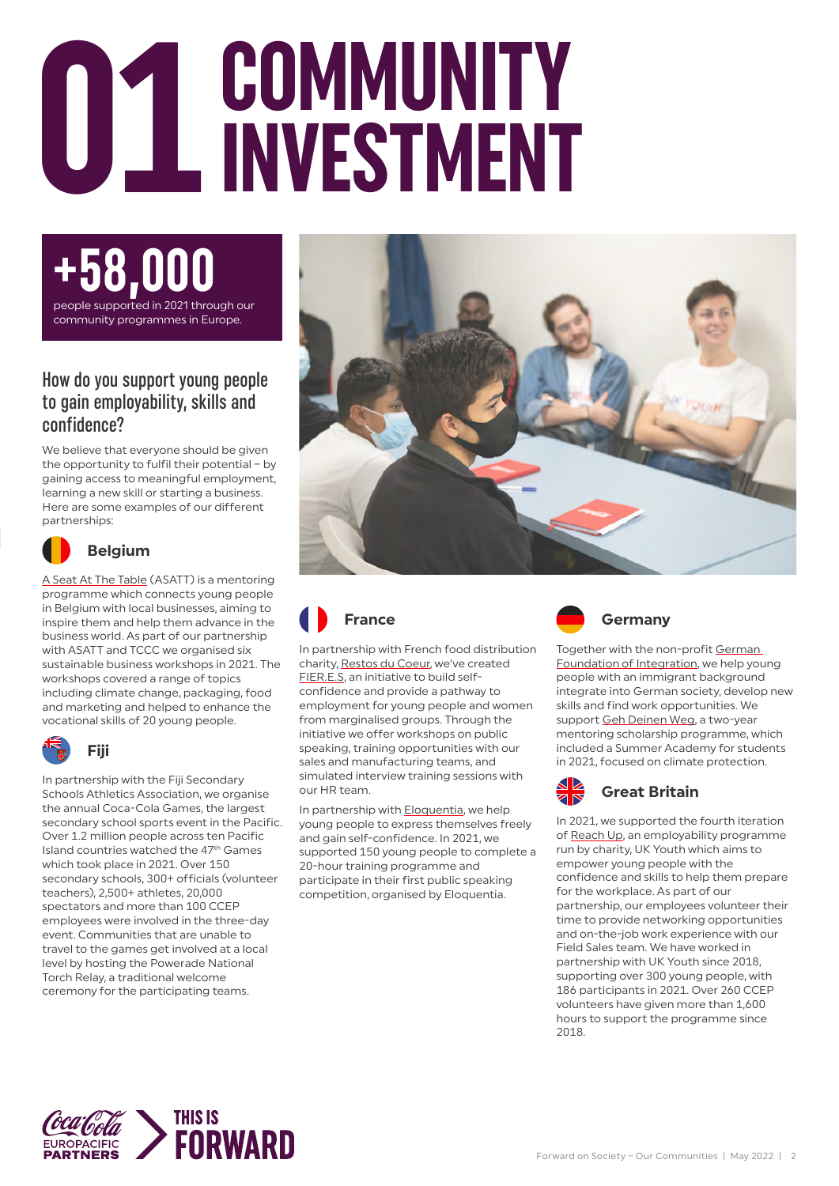# **COMMUNITY**<br> **COMMUNITY**



#### How do you support young people to gain employability, skills and confidence?

We believe that everyone should be given the opportunity to fulfil their potential – by gaining access to meaningful employment, learning a new skill or starting a business. Here are some examples of our different partnerships:



#### **Belgium**

[A Seat At The Table](https://www.asatt.eu/) (ASATT) is a mentoring programme which connects young people in Belgium with local businesses, aiming to inspire them and help them advance in the business world. As part of our partnership with ASATT and TCCC we organised six sustainable business workshops in 2021. The workshops covered a range of topics including climate change, packaging, food and marketing and helped to enhance the vocational skills of 20 young people.



#### **Fiji**

In partnership with the Fiji Secondary Schools Athletics Association, we organise the annual Coca-Cola Games, the largest secondary school sports event in the Pacific. Over 1.2 million people across ten Pacific Island countries watched the 47th Games which took place in 2021. Over 150 secondary schools, 300+ officials (volunteer teachers), 2,500+ athletes, 20,000 spectators and more than 100 CCEP employees were involved in the three-day event. Communities that are unable to travel to the games get involved at a local level by hosting the Powerade National Torch Relay, a traditional welcome ceremony for the participating teams.





In partnership with French food distribution charity, [Restos du Coeur](https://www.restosducoeur.org/), we've created [FIER.E.S](http://www.lereseau.asso.fr/fier-e-s-de-prendre-la-parole-par-coca-cola-european-partners/), an initiative to build selfconfidence and provide a pathway to employment for young people and women from marginalised groups. Through the initiative we offer workshops on public speaking, training opportunities with our sales and manufacturing teams, and simulated interview training sessions with our HR team.

In partnership with [Eloquentia](https://eloquentia.world/), we help young people to express themselves freely and gain self-confidence. In 2021, we supported 150 young people to complete a 20-hour training programme and participate in their first public speaking competition, organised by Eloquentia.



Together with the non-profit German [Foundation of Integration](https://www.deutschlandstiftung.net/), we help young people with an immigrant background integrate into German society, develop new skills and find work opportunities. We support [Geh Deinen Weg](https://www.deutschlandstiftung.net/projekte/geh-deinen-weg-programm), a two-year mentoring scholarship programme, which included a Summer Academy for students in 2021, focused on climate protection.



In 2021, we supported the fourth iteration of [Reach Up](https://www.ukyouth.org/reach-up/), an employability programme run by charity, UK Youth which aims to empower young people with the confidence and skills to help them prepare for the workplace. As part of our partnership, our employees volunteer their time to provide networking opportunities and on-the-job work experience with our Field Sales team. We have worked in partnership with UK Youth since 2018, supporting over 300 young people, with 186 participants in 2021. Over 260 CCEP volunteers have given more than 1,600 hours to support the programme since 2018.

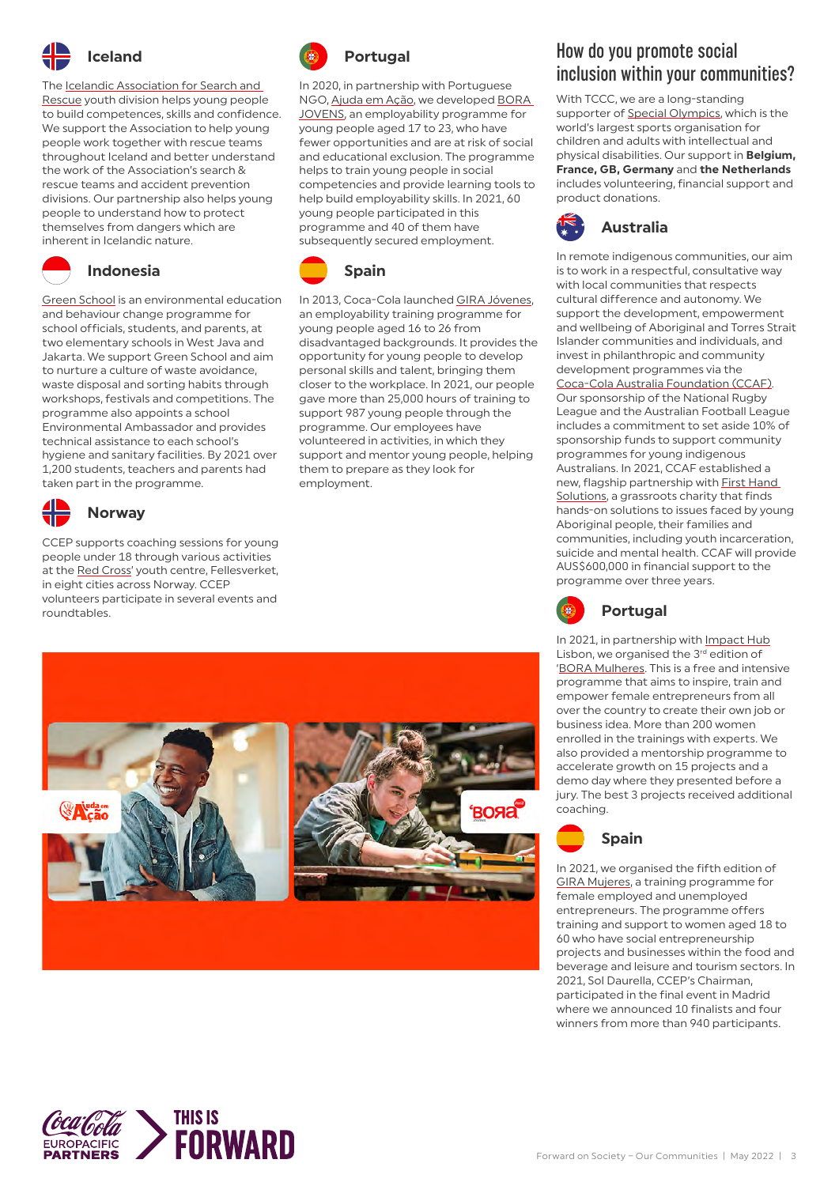

The **Icelandic Association for Search and** [Rescue](https://www.landsbjorg.is/icelandic-association-for-search-and-rescue) youth division helps young people to build competences, skills and confidence. We support the Association to help young people work together with rescue teams throughout Iceland and better understand the work of the Association's search & rescue teams and accident prevention divisions. Our partnership also helps young people to understand how to protect themselves from dangers which are inherent in Icelandic nature.



#### **Indonesia**

**Green School** is an environmental education and behaviour change programme for school officials, students, and parents, at two elementary schools in West Java and Jakarta. We support Green School and aim to nurture a culture of waste avoidance, waste disposal and sorting habits through workshops, festivals and competitions. The programme also appoints a school Environmental Ambassador and provides technical assistance to each school's hygiene and sanitary facilities. By 2021 over 1,200 students, teachers and parents had taken part in the programme.



### **Norway**

CCEP supports coaching sessions for young people under 18 through various activities at the [Red Cross](https://www.rodekors.no/)' youth centre, Fellesverket, in eight cities across Norway. CCEP volunteers participate in several events and roundtables.



In 2020, in partnership with Portuguese NGO, [Ajuda em Ação,](https://ajudaemacao.org/projetos-solidarios-em-portugal-bora-jovens/) we developed [BORA](https://ajudaemacao.org/projetos-solidarios-em-portugal-bora-jovens/)  [JOVENS,](https://ajudaemacao.org/projetos-solidarios-em-portugal-bora-jovens/) an employability programme for young people aged 17 to 23, who have fewer opportunities and are at risk of social and educational exclusion. The programme helps to train young people in social competencies and provide learning tools to help build employability skills. In 2021, 60 young people participated in this programme and 40 of them have subsequently secured employment.



**Spain**

In 2013, Coca-Cola launched [GIRA Jóvenes](https://www.cocacolaespana.es/sostenibilidad/compromiso-social/gira-jovenes), an employability training programme for young people aged 16 to 26 from disadvantaged backgrounds. It provides the opportunity for young people to develop personal skills and talent, bringing them closer to the workplace. In 2021, our people gave more than 25,000 hours of training to support 987 young people through the programme. Our employees have volunteered in activities, in which they support and mentor young people, helping them to prepare as they look for employment.



#### How do you promote social inclusion within your communities?

With TCCC, we are a long-standing supporter of [Special Olympics](https://www.specialolympics.org/), which is the world's largest sports organisation for children and adults with intellectual and physical disabilities. Our support in **Belgium, France, GB, Germany** and **the Netherlands** includes volunteering, financial support and product donations.



In remote indigenous communities, our aim is to work in a respectful, consultative way with local communities that respects cultural difference and autonomy. We support the development, empowerment and wellbeing of Aboriginal and Torres Strait Islander communities and individuals, and invest in philanthropic and community development programmes via the

[Coca-Cola Australia Foundation \(CCAF\).](https://www.coca-colacompany.com/au/responsible-business/coca-cola-australia-foundation) Our sponsorship of the National Rugby League and the Australian Football League includes a commitment to set aside 10% of sponsorship funds to support community programmes for young indigenous Australians. In 2021, CCAF established a new, flagship partnership with [First Hand](https://www.firsthandsolutions.org/)  [Solutions,](https://www.firsthandsolutions.org/) a grassroots charity that finds hands-on solutions to issues faced by young Aboriginal people, their families and communities, including youth incarceration, suicide and mental health. CCAF will provide AUS\$600,000 in financial support to the programme over three years.



In 2021, in partnership with [Impact Hub](https://lisbon.impacthub.net/) Lisbon, we organised the 3rd edition of '[BORA Mulheres.](https://boramulheres.pt/) This is a free and intensive programme that aims to inspire, train and empower female entrepreneurs from all over the country to create their own job or business idea. More than 200 women enrolled in the trainings with experts. We also provided a mentorship programme to accelerate growth on 15 projects and a demo day where they presented before a jury. The best 3 projects received additional coaching.



In 2021, we organised the fifth edition of [GIRA Mujeres,](https://www.cocacolaespana.es/sostenibilidad/compromiso-social/gira-mujeres) a training programme for female employed and unemployed entrepreneurs. The programme offers training and support to women aged 18 to 60 who have social entrepreneurship projects and businesses within the food and beverage and leisure and tourism sectors. In 2021, Sol Daurella, CCEP's Chairman, participated in the final event in Madrid where we announced 10 finalists and four winners from more than 940 participants.

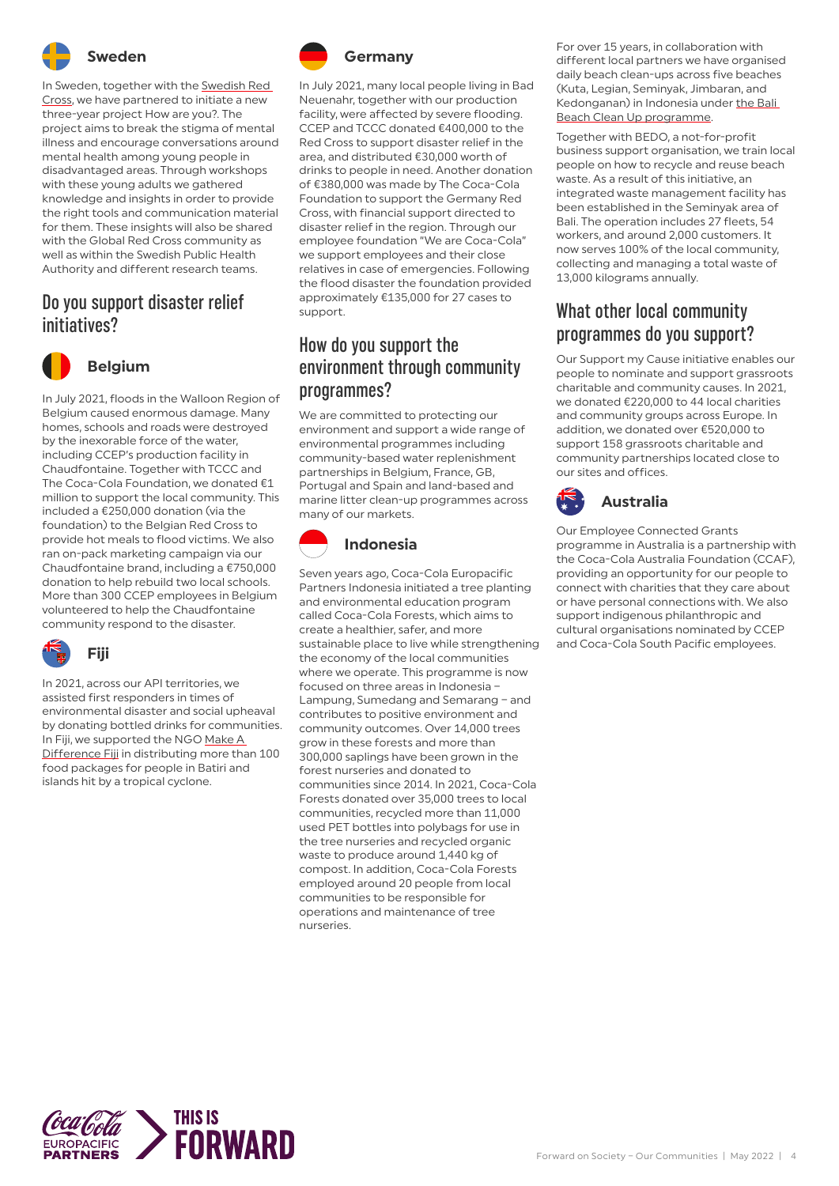

**Sweden**

In Sweden, together with the [Swedish Red](https://www.rodakorset.se/)  [Cross](https://www.rodakorset.se/), we have partnered to initiate a new three-year project How are you?. The project aims to break the stigma of mental illness and encourage conversations around mental health among young people in disadvantaged areas. Through workshops with these young adults we gathered knowledge and insights in order to provide the right tools and communication material for them. These insights will also be shared with the Global Red Cross community as well as within the Swedish Public Health Authority and different research teams.

#### Do you support disaster relief initiatives?



**Belgium**

In July 2021, floods in the Walloon Region of Belgium caused enormous damage. Many homes, schools and roads were destroyed by the inexorable force of the water, including CCEP's production facility in Chaudfontaine. Together with TCCC and The Coca-Cola Foundation, we donated €1 million to support the local community. This included a €250,000 donation (via the foundation) to the Belgian Red Cross to provide hot meals to flood victims. We also ran on-pack marketing campaign via our Chaudfontaine brand, including a €750,000 donation to help rebuild two local schools. More than 300 CCEP employees in Belgium volunteered to help the Chaudfontaine community respond to the disaster.



In 2021, across our API territories, we assisted first responders in times of environmental disaster and social upheaval by donating bottled drinks for communities. In Fiji, we supported the NGO [Make A](https://fijilifefoundation.org/project/make-a-difference-fiji/)  [Difference Fiji](https://fijilifefoundation.org/project/make-a-difference-fiji/) in distributing more than 100 food packages for people in Batiri and islands hit by a tropical cyclone.



In July 2021, many local people living in Bad Neuenahr, together with our production facility, were affected by severe flooding. CCEP and TCCC donated €400,000 to the Red Cross to support disaster relief in the area, and distributed €30,000 worth of drinks to people in need. Another donation of €380,000 was made by The Coca-Cola Foundation to support the Germany Red Cross, with financial support directed to disaster relief in the region. Through our employee foundation "We are Coca-Cola" we support employees and their close relatives in case of emergencies. Following the flood disaster the foundation provided approximately €135,000 for 27 cases to support.

#### How do you support the environment through community programmes?

We are committed to protecting our environment and support a wide range of environmental programmes including community-based water replenishment partnerships in Belgium, France, GB, Portugal and Spain and land-based and marine litter clean-up programmes across many of our markets.



Seven years ago, Coca-Cola Europacific Partners Indonesia initiated a tree planting and environmental education program called Coca-Cola Forests, which aims to create a healthier, safer, and more sustainable place to live while strengthening the economy of the local communities where we operate. This programme is now focused on three areas in Indonesia – Lampung, Sumedang and Semarang – and contributes to positive environment and community outcomes. Over 14,000 trees grow in these forests and more than 300,000 saplings have been grown in the forest nurseries and donated to communities since 2014. In 2021, Coca-Cola Forests donated over 35,000 trees to local communities, recycled more than 11,000 used PET bottles into polybags for use in the tree nurseries and recycled organic waste to produce around 1,440 kg of compost. In addition, Coca-Cola Forests employed around 20 people from local communities to be responsible for operations and maintenance of tree nurseries.

For over 15 years, in collaboration with different local partners we have organised daily beach clean-ups across five beaches (Kuta, Legian, Seminyak, Jimbaran, and Kedonganan) in Indonesia under [the Bali](https://www.oneislandonevoice.org/)  [Beach Clean Up programme.](https://www.oneislandonevoice.org/)

Together with BEDO, a not-for-profit business support organisation, we train local people on how to recycle and reuse beach waste. As a result of this initiative, an integrated waste management facility has been established in the Seminyak area of Bali. The operation includes 27 fleets, 54 workers, and around 2,000 customers. It now serves 100% of the local community, collecting and managing a total waste of 13,000 kilograms annually.

#### What other local community programmes do you support?

Our Support my Cause initiative enables our people to nominate and support grassroots charitable and community causes. In 2021, we donated €220,000 to 44 local charities and community groups across Europe. In addition, we donated over €520,000 to support 158 grassroots charitable and community partnerships located close to our sites and offices.



Our Employee Connected Grants programme in Australia is a partnership with the Coca-Cola Australia Foundation (CCAF), providing an opportunity for our people to connect with charities that they care about or have personal connections with. We also support indigenous philanthropic and cultural organisations nominated by CCEP and Coca-Cola South Pacific employees.

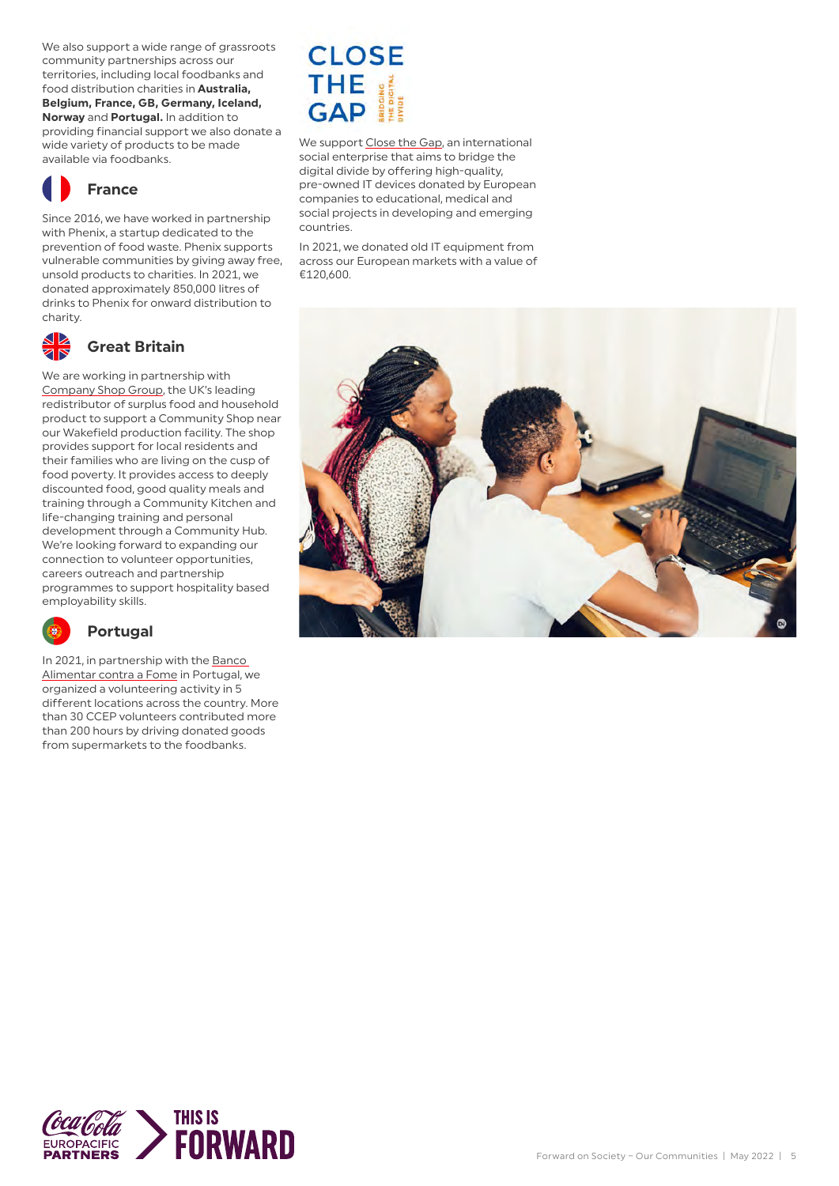We also support a wide range of grassroots community partnerships across our territories, including local foodbanks and food distribution charities in **Australia, Belgium, France, GB, Germany, Iceland, Norway** and **Portugal.** In addition to providing financial support we also donate a wide variety of products to be made available via foodbanks.



#### **France**

Since 2016, we have worked in partnership with Phenix, a startup dedicated to the prevention of food waste. Phenix supports vulnerable communities by giving away free, unsold products to charities. In 2021, we donated approximately 850,000 litres of drinks to Phenix for onward distribution to charity.



#### **Great Britain**

We are working in partnership with [Company Shop Group,](https://www.companyshopgroup.co.uk/) the UK's leading redistributor of surplus food and household product to support a Community Shop near our Wakefield production facility. The shop provides support for local residents and their families who are living on the cusp of food poverty. It provides access to deeply discounted food, good quality meals and training through a Community Kitchen and life-changing training and personal development through a Community Hub. We're looking forward to expanding our connection to volunteer opportunities, careers outreach and partnership programmes to support hospitality based employability skills.



#### **Portugal**

In 2021, in partnership with the [Banco](https://www.bancoalimentar.pt/)  [Alimentar contra a Fome](https://www.bancoalimentar.pt/) in Portugal, we organized a volunteering activity in 5 different locations across the country. More than 30 CCEP volunteers contributed more than 200 hours by driving donated goods from supermarkets to the foodbanks.

# **CLOSE** THE E

We support [Close the Gap,](https://www.close-the-gap.org/) an international social enterprise that aims to bridge the digital divide by offering high-quality, pre-owned IT devices donated by European companies to educational, medical and social projects in developing and emerging countries.

In 2021, we donated old IT equipment from across our European markets with a value of €120,600.



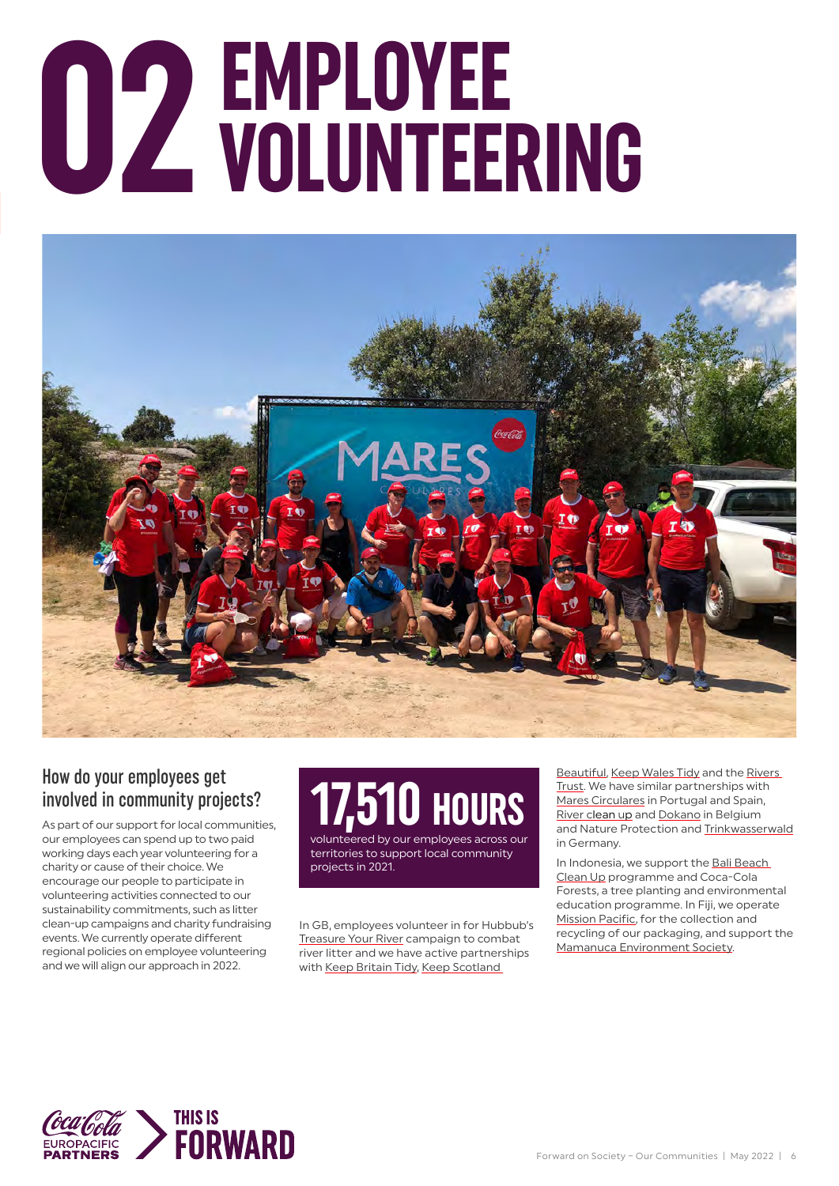# **COLUNTEERING**



#### How do your employees get involved in community projects?

As part of our support for local communities, our employees can spend up to two paid working days each year volunteering for a charity or cause of their choice. We encourage our people to participate in volunteering activities connected to our sustainability commitments, such as litter clean-up campaigns and charity fundraising events. We currently operate different regional policies on employee volunteering and we will align our approach in 2022.

# **17,510 HOURS** volunteered by our employees across our

territories to support local community projects in 2021.

In GB, employees volunteer in for Hubbub's [Treasure Your River](https://www.treasureyourriver.co.uk/) campaign to combat river litter and we have active partnerships with [Keep Britain Tidy](https://www.keepbritaintidy.org/), [Keep Scotland](https://www.keepscotlandbeautiful.org/) 

[Beautiful](https://www.keepscotlandbeautiful.org/), [Keep Wales Tidy](https://keepwalestidy.cymru/) and the [Rivers](https://theriverstrust.org/)  [Trust](https://theriverstrust.org/). We have similar partnerships with [Mares Circulares](https://www.cocacolaespana.es/sostenibilidad/medioambiente/mares-circulares) in Portugal and Spain, River [clean up](https://www.river-cleanup.org/en) and [Dokano](https://www.dokano.be/en/) in Belgium and Nature Protection and [Trinkwasserwald](https://trinkwasserwald.de/) in Germany.

In Indonesia, we support the Bali Beach [Clean Up](https://www.oneislandonevoice.org/) programme and Coca-Cola Forests, a tree planting and environmental education programme. In Fiji, we operate **[Mission Pacific](https://missionpacificfiji.com/), for the collection and** recycling of our packaging, and support the [Mamanuca Environment Society.](https://www.fijisharkcount.com/mamanuca-environment-society/)